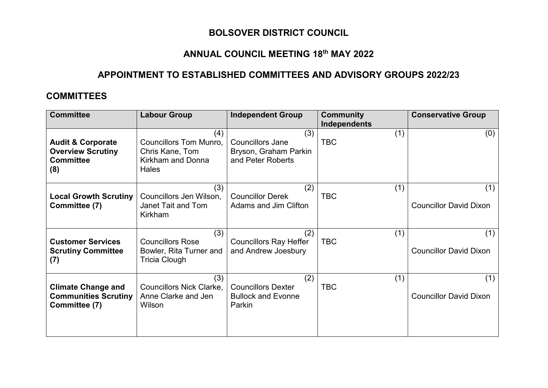## **BOLSOVER DISTRICT COUNCIL**

## **ANNUAL COUNCIL MEETING 18th MAY 2022**

## **APPOINTMENT TO ESTABLISHED COMMITTEES AND ADVISORY GROUPS 2022/23**

#### **COMMITTEES**

| <b>Committee</b>                                                                    | <b>Labour Group</b>                                                                          | <b>Independent Group</b>                                                     | <b>Community</b>                         | <b>Conservative Group</b>            |
|-------------------------------------------------------------------------------------|----------------------------------------------------------------------------------------------|------------------------------------------------------------------------------|------------------------------------------|--------------------------------------|
| <b>Audit &amp; Corporate</b><br><b>Overview Scrutiny</b><br><b>Committee</b><br>(8) | (4)<br><b>Councillors Tom Munro,</b><br>Chris Kane, Tom<br>Kirkham and Donna<br><b>Hales</b> | (3)<br><b>Councillors Jane</b><br>Bryson, Graham Parkin<br>and Peter Roberts | <b>Independents</b><br>(1)<br><b>TBC</b> | (0)                                  |
| <b>Local Growth Scrutiny</b><br>Committee (7)                                       | (3)<br>Councillors Jen Wilson,<br>Janet Tait and Tom<br>Kirkham                              | (2)<br><b>Councillor Derek</b><br>Adams and Jim Clifton                      | (1)<br><b>TBC</b>                        | (1)<br><b>Councillor David Dixon</b> |
| <b>Customer Services</b><br><b>Scrutiny Committee</b><br>(7)                        | (3)<br><b>Councillors Rose</b><br>Bowler, Rita Turner and<br>Tricia Clough                   | (2)<br><b>Councillors Ray Heffer</b><br>and Andrew Joesbury                  | (1)<br><b>TBC</b>                        | (1)<br><b>Councillor David Dixon</b> |
| <b>Climate Change and</b><br><b>Communities Scrutiny</b><br>Committee (7)           | (3)<br><b>Councillors Nick Clarke,</b><br>Anne Clarke and Jen<br>Wilson                      | (2)<br><b>Councillors Dexter</b><br><b>Bullock and Evonne</b><br>Parkin      | (1)<br><b>TBC</b>                        | (1)<br><b>Councillor David Dixon</b> |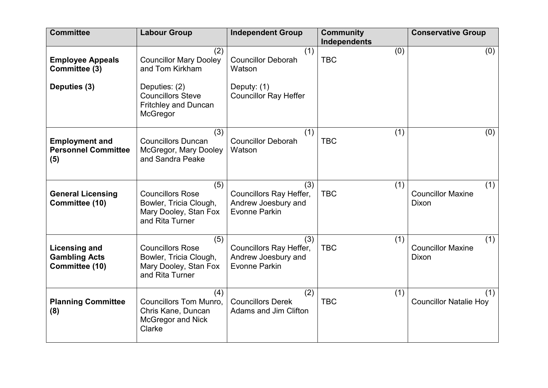| <b>Committee</b>                                               | <b>Labour Group</b>                                                                                                                             | <b>Independent Group</b>                                                                  | <b>Community</b><br><b>Independents</b> | <b>Conservative Group</b>                       |
|----------------------------------------------------------------|-------------------------------------------------------------------------------------------------------------------------------------------------|-------------------------------------------------------------------------------------------|-----------------------------------------|-------------------------------------------------|
| <b>Employee Appeals</b><br>Committee (3)<br>Deputies (3)       | (2)<br><b>Councillor Mary Dooley</b><br>and Tom Kirkham<br>Deputies: (2)<br><b>Councillors Steve</b><br><b>Fritchley and Duncan</b><br>McGregor | (1)<br><b>Councillor Deborah</b><br>Watson<br>Deputy: (1)<br><b>Councillor Ray Heffer</b> | (0)<br><b>TBC</b>                       | (0)                                             |
| <b>Employment and</b><br><b>Personnel Committee</b><br>(5)     | (3)<br><b>Councillors Duncan</b><br>McGregor, Mary Dooley<br>and Sandra Peake                                                                   | (1)<br><b>Councillor Deborah</b><br>Watson                                                | (1)<br><b>TBC</b>                       | (0)                                             |
| <b>General Licensing</b><br>Committee (10)                     | (5)<br><b>Councillors Rose</b><br>Bowler, Tricia Clough,<br>Mary Dooley, Stan Fox<br>and Rita Turner                                            | (3)<br>Councillors Ray Heffer,<br>Andrew Joesbury and<br><b>Evonne Parkin</b>             | (1)<br><b>TBC</b>                       | (1)<br><b>Councillor Maxine</b><br>Dixon        |
| <b>Licensing and</b><br><b>Gambling Acts</b><br>Committee (10) | (5)<br><b>Councillors Rose</b><br>Bowler, Tricia Clough,<br>Mary Dooley, Stan Fox<br>and Rita Turner                                            | (3)<br>Councillors Ray Heffer,<br>Andrew Joesbury and<br><b>Evonne Parkin</b>             | (1)<br><b>TBC</b>                       | (1)<br><b>Councillor Maxine</b><br><b>Dixon</b> |
| <b>Planning Committee</b><br>(8)                               | (4)<br><b>Councillors Tom Munro,</b><br>Chris Kane, Duncan<br><b>McGregor and Nick</b><br>Clarke                                                | (2)<br><b>Councillors Derek</b><br>Adams and Jim Clifton                                  | (1)<br><b>TBC</b>                       | (1)<br><b>Councillor Natalie Hoy</b>            |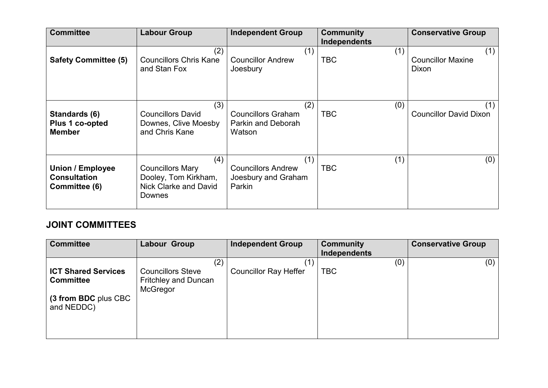| <b>Committee</b>                                                | <b>Labour Group</b>                                                                       | <b>Independent Group</b>                                          | <b>Community</b><br>Independents | <b>Conservative Group</b>                |
|-----------------------------------------------------------------|-------------------------------------------------------------------------------------------|-------------------------------------------------------------------|----------------------------------|------------------------------------------|
| <b>Safety Committee (5)</b>                                     | (2)<br><b>Councillors Chris Kane</b><br>and Stan Fox                                      | (1)<br><b>Councillor Andrew</b><br>Joesbury                       | (1)<br><b>TBC</b>                | (1)<br><b>Councillor Maxine</b><br>Dixon |
| Standards (6)<br>Plus 1 co-opted<br><b>Member</b>               | (3)<br><b>Councillors David</b><br>Downes, Clive Moesby<br>and Chris Kane                 | (2)<br><b>Councillors Graham</b><br>Parkin and Deborah<br>Watson  | (0)<br><b>TBC</b>                | (1)<br><b>Councillor David Dixon</b>     |
| <b>Union / Employee</b><br><b>Consultation</b><br>Committee (6) | (4)<br><b>Councillors Mary</b><br>Dooley, Tom Kirkham,<br>Nick Clarke and David<br>Downes | (1)<br><b>Councillors Andrew</b><br>Joesbury and Graham<br>Parkin | (1)<br><b>TBC</b>                | (0)                                      |

# **JOINT COMMITTEES**

| <b>Committee</b>           | Labour Group                | <b>Independent Group</b>     | <b>Community</b> | <b>Conservative Group</b> |
|----------------------------|-----------------------------|------------------------------|------------------|---------------------------|
|                            |                             |                              | Independents     |                           |
|                            | (2)                         |                              | (0)              | (0)                       |
| <b>ICT Shared Services</b> | <b>Councillors Steve</b>    | <b>Councillor Ray Heffer</b> | <b>TBC</b>       |                           |
| <b>Committee</b>           | <b>Fritchley and Duncan</b> |                              |                  |                           |
|                            | McGregor                    |                              |                  |                           |
| (3 from BDC plus CBC       |                             |                              |                  |                           |
| and NEDDC)                 |                             |                              |                  |                           |
|                            |                             |                              |                  |                           |
|                            |                             |                              |                  |                           |
|                            |                             |                              |                  |                           |